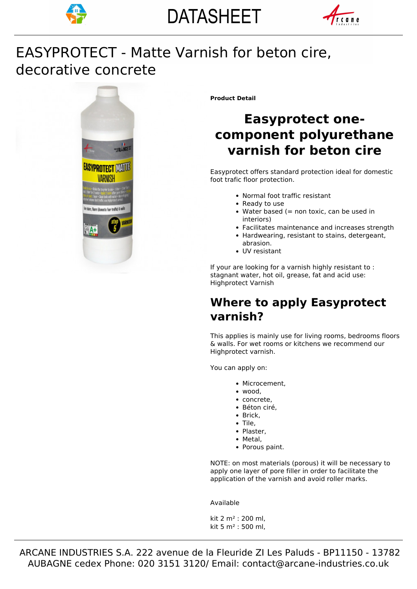



# decorative concrete EASYPROTECT - Matte Varnish for beton cire,



**Product Detail**

# **Easyprotect onecomponent polyurethane varnish for beton cire**

Easyprotect offers standard protection ideal for domestic foot trafic floor protection.

- Normal foot traffic resistant
- Ready to use
- $\bullet$  Water based (= non toxic, can be used in interiors)
- Facilitates maintenance and increases strength
- Hardwearing, resistant to stains, detergeant, abrasion.
- UV resistant

If your are looking for a varnish highly resistant to : stagnant water, hot oil, grease, fat and acid use: Highprotect Varnish

## **Where to apply Easyprotect varnish?**

This applies is mainly use for living rooms, bedrooms floors & walls. For wet rooms or kitchens we recommend our Highprotect varnish.

You can apply on:

- Microcement,
- wood,
- concrete.
- Béton ciré,
- Brick,
- Tile.
- Plaster,
- Metal,
- Porous paint.

NOTE: on most materials (porous) it will be necessary to apply one layer of pore filler in order to facilitate the application of the varnish and avoid roller marks.

Available

kit 2 m² : 200 ml, kit 5 m² : 500 ml,